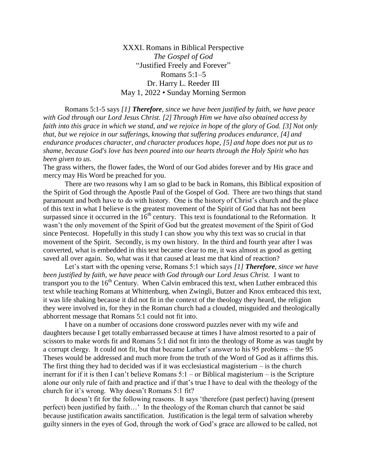XXXI. Romans in Biblical Perspective *The Gospel of God* "Justified Freely and Forever" Romans 5:1–5 Dr. Harry L. Reeder III May 1, 2022 • Sunday Morning Sermon

Romans 5:1-5 says *[1] Therefore, since we have been justified by faith, we have peace with God through our Lord Jesus Christ. [2] Through Him we have also obtained access by faith into this grace in which we stand, and we rejoice in hope of the glory of God. [3] Not only that, but we rejoice in our sufferings, knowing that suffering produces endurance, [4] and endurance produces character, and character produces hope, [5] and hope does not put us to shame, because God's love has been poured into our hearts through the Holy Spirit who has been given to us*.

The grass withers, the flower fades, the Word of our God abides forever and by His grace and mercy may His Word be preached for you.

There are two reasons why I am so glad to be back in Romans, this Biblical exposition of the Spirit of God through the Apostle Paul of the Gospel of God. There are two things that stand paramount and both have to do with history. One is the history of Christ's church and the place of this text in what I believe is the greatest movement of the Spirit of God that has not been surpassed since it occurred in the  $16<sup>th</sup>$  century. This text is foundational to the Reformation. It wasn't the only movement of the Spirit of God but the greatest movement of the Spirit of God since Pentecost. Hopefully in this study I can show you why this text was so crucial in that movement of the Spirit. Secondly, is my own history. In the third and fourth year after I was converted, what is embedded in this text became clear to me, it was almost as good as getting saved all over again. So, what was it that caused at least me that kind of reaction?

Let's start with the opening verse, Romans 5:1 which says *[1] Therefore, since we have been justified by faith, we have peace with God through our Lord Jesus Christ.* I want to transport you to the  $16<sup>th</sup>$  Century. When Calvin embraced this text, when Luther embraced this text while teaching Romans at Whittenburg, when Zwingli, Butzer and Knox embraced this text, it was life shaking because it did not fit in the context of the theology they heard, the religion they were involved in, for they in the Roman church had a clouded, misguided and theologically abhorrent message that Romans 5:1 could not fit into.

I have on a number of occasions done crossword puzzles never with my wife and daughters because I get totally embarrassed because at times I have almost resorted to a pair of scissors to make words fit and Romans 5:1 did not fit into the theology of Rome as was taught by a corrupt clergy. It could not fit, but that became Luther's answer to his 95 problems – the 95 Theses would be addressed and much more from the truth of the Word of God as it affirms this. The first thing they had to decided was if it was ecclesiastical magisterium – is the church inerrant for if it is then I can't believe Romans 5:1 – or Biblical magisterium – is the Scripture alone our only rule of faith and practice and if that's true I have to deal with the theology of the church for it's wrong. Why doesn't Romans 5:1 fit?

It doesn't fit for the following reasons. It says 'therefore (past perfect) having (present perfect) been justified by faith…' In the theology of the Roman church that cannot be said because justification awaits sanctification. Justification is the legal term of salvation whereby guilty sinners in the eyes of God, through the work of God's grace are allowed to be called, not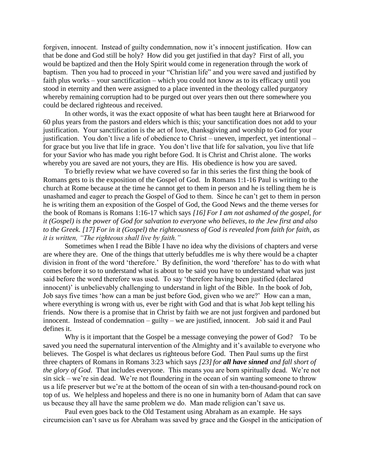forgiven, innocent. Instead of guilty condemnation, now it's innocent justification. How can that be done and God still be holy? How did you get justified in that day? First of all, you would be baptized and then the Holy Spirit would come in regeneration through the work of baptism. Then you had to proceed in your "Christian life" and you were saved and justified by faith plus works – your sanctification – which you could not know as to its efficacy until you stood in eternity and then were assigned to a place invented in the theology called purgatory whereby remaining corruption had to be purged out over years then out there somewhere you could be declared righteous and received.

In other words, it was the exact opposite of what has been taught here at Briarwood for 60 plus years from the pastors and elders which is this; your sanctification does not add to your justification. Your sanctification is the act of love, thanksgiving and worship to God for your justification. You don't live a life of obedience to Christ – uneven, imperfect, yet intentional – for grace but you live that life in grace. You don't live that life for salvation, you live that life for your Savior who has made you right before God. It is Christ and Christ alone. The works whereby you are saved are not yours, they are His. His obedience is how you are saved.

To briefly review what we have covered so far in this series the first thing the book of Romans gets to is the exposition of the Gospel of God. In Romans 1:1-16 Paul is writing to the church at Rome because at the time he cannot get to them in person and he is telling them he is unashamed and eager to preach the Gospel of God to them. Since he can't get to them in person he is writing them an exposition of the Gospel of God, the Good News and the theme verses for the book of Romans is Romans 1:16-17 which says *[16] For I am not ashamed of the gospel, for it (Gospel) is the power of God for salvation to everyone who believes, to the Jew first and also to the Greek. [17] For in it (Gospel) the righteousness of God is revealed from faith for faith, as it is written, "The righteous shall live by faith."*

Sometimes when I read the Bible I have no idea why the divisions of chapters and verse are where they are. One of the things that utterly befuddles me is why there would be a chapter division in front of the word 'therefore.' By definition, the word 'therefore' has to do with what comes before it so to understand what is about to be said you have to understand what was just said before the word therefore was used. To say 'therefore having been justified (declared innocent)' is unbelievably challenging to understand in light of the Bible. In the book of Job, Job says five times 'how can a man be just before God, given who we are?' How can a man, where everything is wrong with us, ever be right with God and that is what Job kept telling his friends. Now there is a promise that in Christ by faith we are not just forgiven and pardoned but innocent. Instead of condemnation – guilty – we are justified, innocent. Job said it and Paul defines it.

Why is it important that the Gospel be a message conveying the power of God? To be saved you need the supernatural intervention of the Almighty and it's available to everyone who believes. The Gospel is what declares us righteous before God. Then Paul sums up the first three chapters of Romans in Romans 3:23 which says *[23]for all have sinned and fall short of the glory of God*. That includes everyone. This means you are born spiritually dead. We're not sin sick – we're sin dead. We're not floundering in the ocean of sin wanting someone to throw us a life preserver but we're at the bottom of the ocean of sin with a ten-thousand-pound rock on top of us. We helpless and hopeless and there is no one in humanity born of Adam that can save us because they all have the same problem we do. Man made religion can't save us.

Paul even goes back to the Old Testament using Abraham as an example. He says circumcision can't save us for Abraham was saved by grace and the Gospel in the anticipation of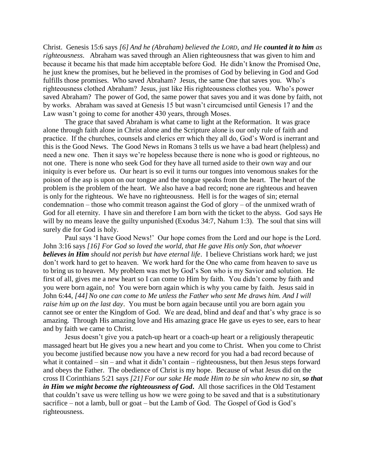Christ. Genesis 15:6 says *[6] And he (Abraham) believed the LORD, and He counted it to him as righteousness*. Abraham was saved through an Alien righteousness that was given to him and because it became his that made him acceptable before God. He didn't know the Promised One, he just knew the promises, but he believed in the promises of God by believing in God and God fulfills those promises. Who saved Abraham? Jesus, the same One that saves you. Who's righteousness clothed Abraham? Jesus, just like His righteousness clothes you. Who's power saved Abraham? The power of God, the same power that saves you and it was done by faith, not by works. Abraham was saved at Genesis 15 but wasn't circumcised until Genesis 17 and the Law wasn't going to come for another 430 years, through Moses.

The grace that saved Abraham is what came to light at the Reformation. It was grace alone through faith alone in Christ alone and the Scripture alone is our only rule of faith and practice. If the churches, counsels and clerics err which they all do, God's Word is inerrant and this is the Good News. The Good News in Romans 3 tells us we have a bad heart (helpless) and need a new one. Then it says we're hopeless because there is none who is good or righteous, no not one. There is none who seek God for they have all turned aside to their own way and our iniquity is ever before us. Our heart is so evil it turns our tongues into venomous snakes for the poison of the asp is upon on our tongue and the tongue speaks from the heart. The heart of the problem is the problem of the heart. We also have a bad record; none are righteous and heaven is only for the righteous. We have no righteousness. Hell is for the wages of sin; eternal condemnation – those who commit treason against the God of glory – of the unmixed wrath of God for all eternity. I have sin and therefore I am born with the ticket to the abyss. God says He will by no means leave the guilty unpunished (Exodus 34:7, Nahum 1:3). The soul that sins will surely die for God is holy.

Paul says 'I have Good News!' Our hope comes from the Lord and our hope is the Lord. John 3:16 says *[16] For God so loved the world, that He gave His only Son, that whoever believes in Him should not perish but have eternal life*. I believe Christians work hard; we just don't work hard to get to heaven. We work hard for the One who came from heaven to save us to bring us to heaven. My problem was met by God's Son who is my Savior and solution. He first of all, gives me a new heart so I can come to Him by faith. You didn't come by faith and you were born again, no! You were born again which is why you came by faith. Jesus said in John 6:44, *[44] No one can come to Me unless the Father who sent Me draws him. And I will raise him up on the last day*. You must be born again because until you are born again you cannot see or enter the Kingdom of God. We are dead, blind and deaf and that's why grace is so amazing. Through His amazing love and His amazing grace He gave us eyes to see, ears to hear and by faith we came to Christ.

Jesus doesn't give you a patch-up heart or a coach-up heart or a religiously therapeutic massaged heart but He gives you a new heart and you come to Christ. When you come to Christ you become justified because now you have a new record for you had a bad record because of what it contained – sin – and what it didn't contain – righteousness, but then Jesus steps forward and obeys the Father. The obedience of Christ is my hope. Because of what Jesus did on the cross II Corinthians 5:21 says *[21] For our sake He made Him to be sin who knew no sin, so that in Him we might become the righteousness of God***.** All those sacrifices in the Old Testament that couldn't save us were telling us how we were going to be saved and that is a substitutionary sacrifice – not a lamb, bull or goat – but the Lamb of God. The Gospel of God is God's righteousness.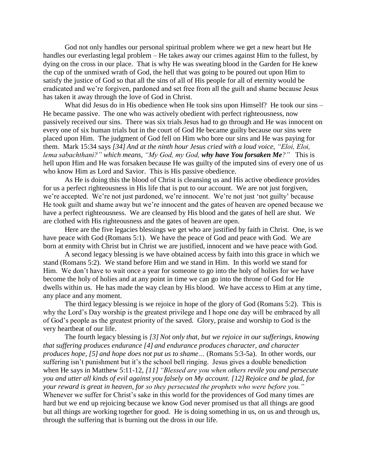God not only handles our personal spiritual problem where we get a new heart but He handles our everlasting legal problem – He takes away our crimes against Him to the fullest, by dying on the cross in our place. That is why He was sweating blood in the Garden for He knew the cup of the unmixed wrath of God, the hell that was going to be poured out upon Him to satisfy the justice of God so that all the sins of all of His people for all of eternity would be eradicated and we're forgiven, pardoned and set free from all the guilt and shame because Jesus has taken it away through the love of God in Christ.

What did Jesus do in His obedience when He took sins upon Himself? He took our sins – He became passive. The one who was actively obedient with perfect righteousness, now passively received our sins. There was six trials Jesus had to go through and He was innocent on every one of six human trials but in the court of God He became guilty because our sins were placed upon Him. The judgment of God fell on Him who bore our sins and He was paying for them. Mark 15:34 says *[34] And at the ninth hour Jesus cried with a loud voice, "Eloi, Eloi, lema sabachthani?" which means, "My God, my God, why have You forsaken Me?"* This is hell upon Him and He was forsaken because He was guilty of the imputed sins of every one of us who know Him as Lord and Savior. This is His passive obedience.

As He is doing this the blood of Christ is cleansing us and His active obedience provides for us a perfect righteousness in His life that is put to our account. We are not just forgiven, we're accepted. We're not just pardoned, we're innocent. We're not just 'not guilty' because He took guilt and shame away but we're innocent and the gates of heaven are opened because we have a perfect righteousness. We are cleansed by His blood and the gates of hell are shut. We are clothed with His righteousness and the gates of heaven are open.

Here are the five legacies blessings we get who are justified by faith in Christ. One, is we have peace with God (Romans 5:1). We have the peace of God and peace with God. We are born at enmity with Christ but in Christ we are justified, innocent and we have peace with God.

A second legacy blessing is we have obtained access by faith into this grace in which we stand (Romans 5:2). We stand before Him and we stand in Him. In this world we stand for Him. We don't have to wait once a year for someone to go into the holy of holies for we have become the holy of holies and at any point in time we can go into the throne of God for He dwells within us. He has made the way clean by His blood. We have access to Him at any time, any place and any moment.

The third legacy blessing is we rejoice in hope of the glory of God (Romans 5:2). This is why the Lord's Day worship is the greatest privilege and I hope one day will be embraced by all of God's people as the greatest priority of the saved. Glory, praise and worship to God is the very heartbeat of our life.

The fourth legacy blessing is *[3] Not only that, but we rejoice in our sufferings, knowing that suffering produces endurance [4] and endurance produces character, and character produces hope, [5] and hope does not put us to shame…* (Romans 5:3-5a). In other words, our suffering isn't punishment but it's the school bell ringing. Jesus gives a double benediction when He says in Matthew 5:11-12, *[11] "Blessed are you when others revile you and persecute you and utter all kinds of evil against you falsely on My account. [12] Rejoice and be glad, for your reward is great in heaven, for so they persecuted the prophets who were before you."* Whenever we suffer for Christ's sake in this world for the providences of God many times are hard but we end up rejoicing because we know God never promised us that all things are good but all things are working together for good. He is doing something in us, on us and through us, through the suffering that is burning out the dross in our life.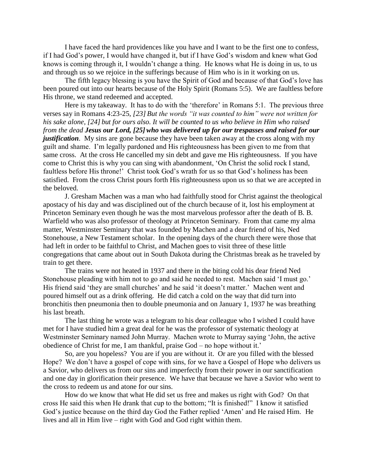I have faced the hard providences like you have and I want to be the first one to confess, if I had God's power, I would have changed it, but if I have God's wisdom and knew what God knows is coming through it, I wouldn't change a thing. He knows what He is doing in us, to us and through us so we rejoice in the sufferings because of Him who is in it working on us.

The fifth legacy blessing is you have the Spirit of God and because of that God's love has been poured out into our hearts because of the Holy Spirit (Romans 5:5). We are faultless before His throne, we stand redeemed and accepted.

Here is my takeaway. It has to do with the 'therefore' in Romans 5:1. The previous three verses say in Romans 4:23-25, *[23] But the words "it was counted to him" were not written for his sake alone, [24] but for ours also. It will be counted to us who believe in Him who raised from the dead Jesus our Lord,* [25] who was delivered up for our trespasses and raised for our *justification*. My sins are gone because they have been taken away at the cross along with my guilt and shame. I'm legally pardoned and His righteousness has been given to me from that same cross. At the cross He cancelled my sin debt and gave me His righteousness. If you have come to Christ this is why you can sing with abandonment, 'On Christ the solid rock I stand, faultless before His throne!' Christ took God's wrath for us so that God's holiness has been satisfied. From the cross Christ pours forth His righteousness upon us so that we are accepted in the beloved.

J. Gresham Machen was a man who had faithfully stood for Christ against the theological apostacy of his day and was disciplined out of the church because of it, lost his employment at Princeton Seminary even though he was the most marvelous professor after the death of B. B. Warfield who was also professor of theology at Princeton Seminary. From that came my alma matter, Westminster Seminary that was founded by Machen and a dear friend of his, Ned Stonehouse, a New Testament scholar. In the opening days of the church there were those that had left in order to be faithful to Christ, and Machen goes to visit three of these little congregations that came about out in South Dakota during the Christmas break as he traveled by train to get there.

The trains were not heated in 1937 and there in the biting cold his dear friend Ned Stonehouse pleading with him not to go and said he needed to rest. Machen said 'I must go.' His friend said 'they are small churches' and he said 'it doesn't matter.' Machen went and poured himself out as a drink offering. He did catch a cold on the way that did turn into bronchitis then pneumonia then to double pneumonia and on January 1, 1937 he was breathing his last breath.

The last thing he wrote was a telegram to his dear colleague who I wished I could have met for I have studied him a great deal for he was the professor of systematic theology at Westminster Seminary named John Murray. Machen wrote to Murray saying 'John, the active obedience of Christ for me, I am thankful, praise God – no hope without it.'

So, are you hopeless? You are if you are without it. Or are you filled with the blessed Hope? We don't have a gospel of cope with sins, for we have a Gospel of Hope who delivers us a Savior, who delivers us from our sins and imperfectly from their power in our sanctification and one day in glorification their presence. We have that because we have a Savior who went to the cross to redeem us and atone for our sins.

How do we know that what He did set us free and makes us right with God? On that cross He said this when He drank that cup to the bottom; "It is finished!" I know it satisfied God's justice because on the third day God the Father replied 'Amen' and He raised Him. He lives and all in Him live – right with God and God right within them.